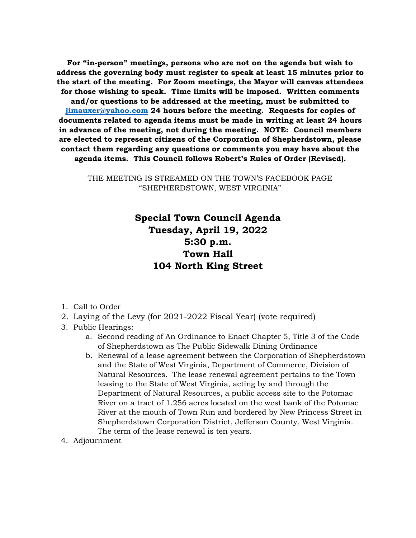**For "in-person" meetings, persons who are not on the agenda but wish to address the governing body must register to speak at least 15 minutes prior to the start of the meeting. For Zoom meetings, the Mayor will canvas attendees for those wishing to speak. Time limits will be imposed. Written comments and/or questions to be addressed at the meeting, must be submitted to [jimauxer@yahoo.com](mailto:jimauxer@yahoo.com) 24 hours before the meeting. Requests for copies of documents related to agenda items must be made in writing at least 24 hours in advance of the meeting, not during the meeting. NOTE: Council members are elected to represent citizens of the Corporation of Shepherdstown, please contact them regarding any questions or comments you may have about the agenda items. This Council follows Robert's Rules of Order (Revised).** 

THE MEETING IS STREAMED ON THE TOWN'S FACEBOOK PAGE "SHEPHERDSTOWN, WEST VIRGINIA"

# **Special Town Council Agenda Tuesday, April 19, 2022 5:30 p.m. Town Hall 104 North King Street**

- 1. Call to Order
- 2. Laying of the Levy (for 2021-2022 Fiscal Year) (vote required)
- 3. Public Hearings:
	- a. Second reading of An Ordinance to Enact Chapter 5, Title 3 of the Code of Shepherdstown as The Public Sidewalk Dining Ordinance
	- b. Renewal of a lease agreement between the Corporation of Shepherdstown and the State of West Virginia, Department of Commerce, Division of Natural Resources. The lease renewal agreement pertains to the Town leasing to the State of West Virginia, acting by and through the Department of Natural Resources, a public access site to the Potomac River on a tract of 1.256 acres located on the west bank of the Potomac River at the mouth of Town Run and bordered by New Princess Street in Shepherdstown Corporation District, Jefferson County, West Virginia. The term of the lease renewal is ten years.
- 4. Adjournment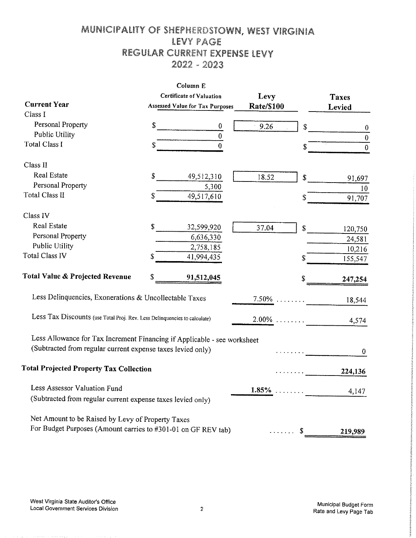# MUNICIPALITY OF SHEPHERDSTOWN, WEST VIRGINIA LEVY PAGE REGULAR CURRENT EXPENSE LEVY 2022 - 2023

|                                                                           |    | Column E                               |                   |                  |
|---------------------------------------------------------------------------|----|----------------------------------------|-------------------|------------------|
|                                                                           |    | <b>Certificate of Valuation</b>        | Levy              | Taxes            |
| <b>Current Year</b>                                                       |    | <b>Assessed Value for Tax Purposes</b> | <b>Rate/\$100</b> | Levied           |
| Class I                                                                   |    |                                        |                   |                  |
| Personal Property                                                         | \$ | 0                                      | 9.26<br>\$        | $\boldsymbol{0}$ |
| <b>Public Utility</b>                                                     |    | $\overline{0}$                         |                   | $\mathbf{0}$     |
| <b>Total Class I</b>                                                      |    | $\mathbf 0$                            |                   | $\overline{0}$   |
| Class II                                                                  |    |                                        |                   |                  |
| Real Estate                                                               | \$ | 49,512,310                             | 18.52<br>\$       | 91,697           |
| Personal Property                                                         |    | 5,300                                  |                   | 10 <sup>°</sup>  |
| <b>Total Class II</b>                                                     |    | 49,517,610                             |                   | 91,707           |
| Class IV                                                                  |    |                                        |                   |                  |
| <b>Real Estate</b>                                                        | \$ | 32,599,920                             | 37.04<br>\$       | 120,750          |
| Personal Property                                                         |    | 6,636,330                              |                   | 24,581           |
| <b>Public Utility</b>                                                     |    | 2,758,185                              |                   | 10,216           |
| <b>Total Class IV</b>                                                     |    | 41,994,435                             |                   | 155,547          |
| <b>Total Value &amp; Projected Revenue</b>                                | \$ | 91,512,045                             |                   | 247,254          |
| Less Delinquencies, Exonerations & Uncollectable Taxes                    |    |                                        | $7.50\%$          | 18,544           |
| Less Tax Discounts (use Total Proj. Rev. Less Delinquencies to calculate) |    |                                        | $2.00\%$          | 4,574            |
| Less Allowance for Tax Increment Financing if Applicable - see worksheet  |    |                                        |                   |                  |
| (Subtracted from regular current expense taxes levied only)               |    |                                        |                   | 0                |
| <b>Total Projected Property Tax Collection</b>                            |    |                                        |                   | 224,136          |
| Less Assessor Valuation Fund                                              |    |                                        | $1.85\%$          | 4,147            |
| (Subtracted from regular current expense taxes levied only)               |    |                                        |                   |                  |
| Net Amount to be Raised by Levy of Property Taxes                         |    |                                        |                   |                  |
| For Budget Purposes (Amount carries to #301-01 on GF REV tab)             |    |                                        | -\$<br>.          | 219,989          |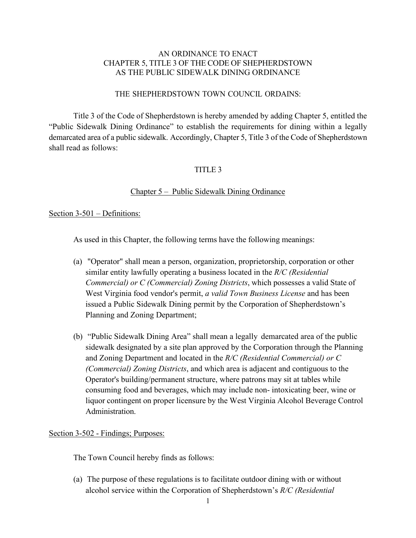## AN ORDINANCE TO ENACT CHAPTER 5, TITLE 3 OF THE CODE OF SHEPHERDSTOWN AS THE PUBLIC SIDEWALK DINING ORDINANCE

#### THE SHEPHERDSTOWN TOWN COUNCIL ORDAINS:

Title 3 of the Code of Shepherdstown is hereby amended by adding Chapter 5, entitled the "Public Sidewalk Dining Ordinance" to establish the requirements for dining within a legally demarcated area of a public sidewalk. Accordingly, Chapter 5, Title 3 of the Code of Shepherdstown shall read as follows:

#### TITLE 3

#### Chapter 5 – Public Sidewalk Dining Ordinance

#### Section 3-501 – Definitions:

As used in this Chapter, the following terms have the following meanings:

- (a) "Operator" shall mean a person, organization, proprietorship, corporation or other similar entity lawfully operating a business located in the *R/C (Residential Commercial) or C (Commercial) Zoning Districts*, which possesses a valid State of West Virginia food vendor's permit, *a valid Town Business License* and has been issued a Public Sidewalk Dining permit by the Corporation of Shepherdstown's Planning and Zoning Department;
- (b) "Public Sidewalk Dining Area" shall mean a legally demarcated area of the public sidewalk designated by a site plan approved by the Corporation through the Planning and Zoning Department and located in the *R/C (Residential Commercial) or C (Commercial) Zoning Districts*, and which area is adjacent and contiguous to the Operator's building/permanent structure, where patrons may sit at tables while consuming food and beverages, which may include non- intoxicating beer, wine or liquor contingent on proper licensure by the West Virginia Alcohol Beverage Control Administration.

Section 3-502 - Findings; Purposes:

The Town Council hereby finds as follows:

(a) The purpose of these regulations is to facilitate outdoor dining with or without alcohol service within the Corporation of Shepherdstown's *R/C (Residential*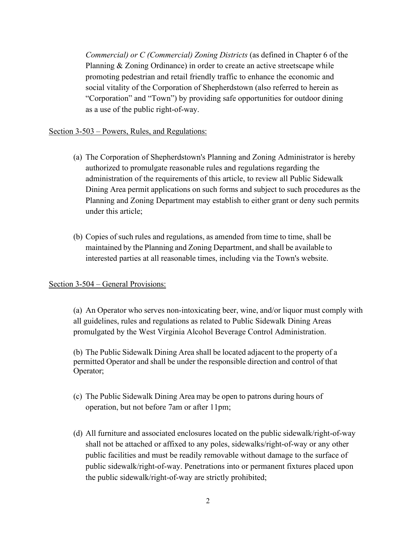*Commercial) or C (Commercial) Zoning Districts* (as defined in Chapter 6 of the Planning & Zoning Ordinance) in order to create an active streetscape while promoting pedestrian and retail friendly traffic to enhance the economic and social vitality of the Corporation of Shepherdstown (also referred to herein as "Corporation" and "Town") by providing safe opportunities for outdoor dining as a use of the public right-of-way.

Section 3-503 – Powers, Rules, and Regulations:

- (a) The Corporation of Shepherdstown's Planning and Zoning Administrator is hereby authorized to promulgate reasonable rules and regulations regarding the administration of the requirements of this article, to review all Public Sidewalk Dining Area permit applications on such forms and subject to such procedures as the Planning and Zoning Department may establish to either grant or deny such permits under this article;
- (b) Copies of such rules and regulations, as amended from time to time, shall be maintained by the Planning and Zoning Department, and shall be available to interested parties at all reasonable times, including via the Town's website.

## Section 3-504 – General Provisions:

(a) An Operator who serves non-intoxicating beer, wine, and/or liquor must comply with all guidelines, rules and regulations as related to Public Sidewalk Dining Areas promulgated by the West Virginia Alcohol Beverage Control Administration.

(b) The Public Sidewalk Dining Area shall be located adjacent to the property of a permitted Operator and shall be under the responsible direction and control of that Operator;

- (c) The Public Sidewalk Dining Area may be open to patrons during hours of operation, but not before 7am or after 11pm;
- (d) All furniture and associated enclosures located on the public sidewalk/right-of-way shall not be attached or affixed to any poles, sidewalks/right-of-way or any other public facilities and must be readily removable without damage to the surface of public sidewalk/right-of-way. Penetrations into or permanent fixtures placed upon the public sidewalk/right-of-way are strictly prohibited;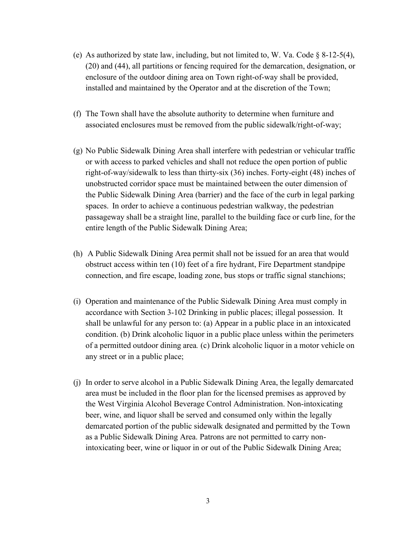- (e) As authorized by state law, including, but not limited to, W. Va. Code  $\S$  8-12-5(4), (20) and (44), all partitions or fencing required for the demarcation, designation, or enclosure of the outdoor dining area on Town right-of-way shall be provided, installed and maintained by the Operator and at the discretion of the Town;
- (f) The Town shall have the absolute authority to determine when furniture and associated enclosures must be removed from the public sidewalk/right-of-way;
- (g) No Public Sidewalk Dining Area shall interfere with pedestrian or vehicular traffic or with access to parked vehicles and shall not reduce the open portion of public right-of-way/sidewalk to less than thirty-six (36) inches. Forty-eight (48) inches of unobstructed corridor space must be maintained between the outer dimension of the Public Sidewalk Dining Area (barrier) and the face of the curb in legal parking spaces. In order to achieve a continuous pedestrian walkway, the pedestrian passageway shall be a straight line, parallel to the building face or curb line, for the entire length of the Public Sidewalk Dining Area;
- (h) A Public Sidewalk Dining Area permit shall not be issued for an area that would obstruct access within ten (10) feet of a fire hydrant, Fire Department standpipe connection, and fire escape, loading zone, bus stops or traffic signal stanchions;
- (i) Operation and maintenance of the Public Sidewalk Dining Area must comply in accordance with Section 3-102 Drinking in public places; illegal possession. It shall be unlawful for any person to: (a) Appear in a public place in an intoxicated condition. (b) Drink alcoholic liquor in a public place unless within the perimeters of a permitted outdoor dining area*.* (c) Drink alcoholic liquor in a motor vehicle on any street or in a public place;
- (j) In order to serve alcohol in a Public Sidewalk Dining Area, the legally demarcated area must be included in the floor plan for the licensed premises as approved by the West Virginia Alcohol Beverage Control Administration. Non-intoxicating beer, wine, and liquor shall be served and consumed only within the legally demarcated portion of the public sidewalk designated and permitted by the Town as a Public Sidewalk Dining Area. Patrons are not permitted to carry nonintoxicating beer, wine or liquor in or out of the Public Sidewalk Dining Area;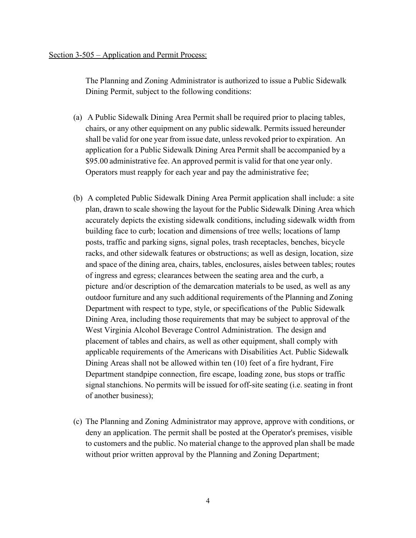The Planning and Zoning Administrator is authorized to issue a Public Sidewalk Dining Permit, subject to the following conditions:

- (a) A Public Sidewalk Dining Area Permit shall be required prior to placing tables, chairs, or any other equipment on any public sidewalk. Permits issued hereunder shall be valid for one year from issue date, unless revoked prior to expiration. An application for a Public Sidewalk Dining Area Permit shall be accompanied by a \$95.00 administrative fee. An approved permit is valid for that one year only. Operators must reapply for each year and pay the administrative fee;
- (b) A completed Public Sidewalk Dining Area Permit application shall include: a site plan, drawn to scale showing the layout for the Public Sidewalk Dining Area which accurately depicts the existing sidewalk conditions, including sidewalk width from building face to curb; location and dimensions of tree wells; locations of lamp posts, traffic and parking signs, signal poles, trash receptacles, benches, bicycle racks, and other sidewalk features or obstructions; as well as design, location, size and space of the dining area, chairs, tables, enclosures, aisles between tables; routes of ingress and egress; clearances between the seating area and the curb, a picture and/or description of the demarcation materials to be used, as well as any outdoor furniture and any such additional requirements of the Planning and Zoning Department with respect to type, style, or specifications of the Public Sidewalk Dining Area, including those requirements that may be subject to approval of the West Virginia Alcohol Beverage Control Administration. The design and placement of tables and chairs, as well as other equipment, shall comply with applicable requirements of the Americans with Disabilities Act. Public Sidewalk Dining Areas shall not be allowed within ten (10) feet of a fire hydrant, Fire Department standpipe connection, fire escape, loading zone, bus stops or traffic signal stanchions. No permits will be issued for off-site seating (i.e. seating in front of another business);
- (c) The Planning and Zoning Administrator may approve, approve with conditions, or deny an application. The permit shall be posted at the Operator's premises, visible to customers and the public. No material change to the approved plan shall be made without prior written approval by the Planning and Zoning Department;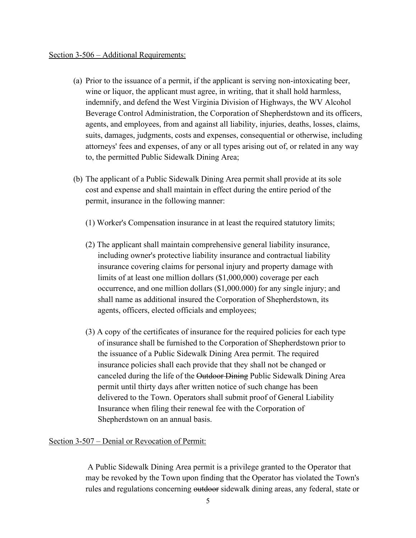#### Section 3-506 – Additional Requirements:

- (a) Prior to the issuance of a permit, if the applicant is serving non-intoxicating beer, wine or liquor, the applicant must agree, in writing, that it shall hold harmless, indemnify, and defend the West Virginia Division of Highways, the WV Alcohol Beverage Control Administration, the Corporation of Shepherdstown and its officers, agents, and employees, from and against all liability, injuries, deaths, losses, claims, suits, damages, judgments, costs and expenses, consequential or otherwise, including attorneys' fees and expenses, of any or all types arising out of, or related in any way to, the permitted Public Sidewalk Dining Area;
- (b) The applicant of a Public Sidewalk Dining Area permit shall provide at its sole cost and expense and shall maintain in effect during the entire period of the permit, insurance in the following manner:
	- (1) Worker's Compensation insurance in at least the required statutory limits;
	- (2) The applicant shall maintain comprehensive general liability insurance, including owner's protective liability insurance and contractual liability insurance covering claims for personal injury and property damage with limits of at least one million dollars (\$1,000,000) coverage per each occurrence, and one million dollars (\$1,000.000) for any single injury; and shall name as additional insured the Corporation of Shepherdstown, its agents, officers, elected officials and employees;
	- (3) A copy of the certificates of insurance for the required policies for each type of insurance shall be furnished to the Corporation of Shepherdstown prior to the issuance of a Public Sidewalk Dining Area permit. The required insurance policies shall each provide that they shall not be changed or canceled during the life of the Outdoor Dining Public Sidewalk Dining Area permit until thirty days after written notice of such change has been delivered to the Town. Operators shall submit proof of General Liability Insurance when filing their renewal fee with the Corporation of Shepherdstown on an annual basis.

## Section 3-507 – Denial or Revocation of Permit:

A Public Sidewalk Dining Area permit is a privilege granted to the Operator that may be revoked by the Town upon finding that the Operator has violated the Town's rules and regulations concerning outdoor sidewalk dining areas, any federal, state or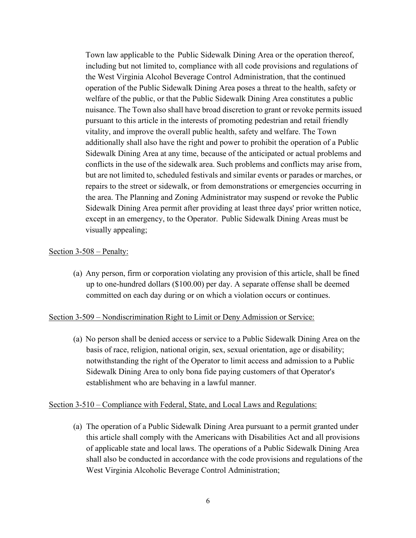Town law applicable to the Public Sidewalk Dining Area or the operation thereof, including but not limited to, compliance with all code provisions and regulations of the West Virginia Alcohol Beverage Control Administration, that the continued operation of the Public Sidewalk Dining Area poses a threat to the health, safety or welfare of the public, or that the Public Sidewalk Dining Area constitutes a public nuisance. The Town also shall have broad discretion to grant or revoke permits issued pursuant to this article in the interests of promoting pedestrian and retail friendly vitality, and improve the overall public health, safety and welfare. The Town additionally shall also have the right and power to prohibit the operation of a Public Sidewalk Dining Area at any time, because of the anticipated or actual problems and conflicts in the use of the sidewalk area. Such problems and conflicts may arise from, but are not limited to, scheduled festivals and similar events or parades or marches, or repairs to the street or sidewalk, or from demonstrations or emergencies occurring in the area. The Planning and Zoning Administrator may suspend or revoke the Public Sidewalk Dining Area permit after providing at least three days' prior written notice, except in an emergency, to the Operator. Public Sidewalk Dining Areas must be visually appealing;

## Section 3-508 – Penalty:

(a) Any person, firm or corporation violating any provision of this article, shall be fined up to one-hundred dollars (\$100.00) per day. A separate offense shall be deemed committed on each day during or on which a violation occurs or continues.

## Section 3-509 – Nondiscrimination Right to Limit or Deny Admission or Service:

(a) No person shall be denied access or service to a Public Sidewalk Dining Area on the basis of race, religion, national origin, sex, sexual orientation, age or disability; notwithstanding the right of the Operator to limit access and admission to a Public Sidewalk Dining Area to only bona fide paying customers of that Operator's establishment who are behaving in a lawful manner.

## Section 3-510 – Compliance with Federal, State, and Local Laws and Regulations:

(a) The operation of a Public Sidewalk Dining Area pursuant to a permit granted under this article shall comply with the Americans with Disabilities Act and all provisions of applicable state and local laws. The operations of a Public Sidewalk Dining Area shall also be conducted in accordance with the code provisions and regulations of the West Virginia Alcoholic Beverage Control Administration;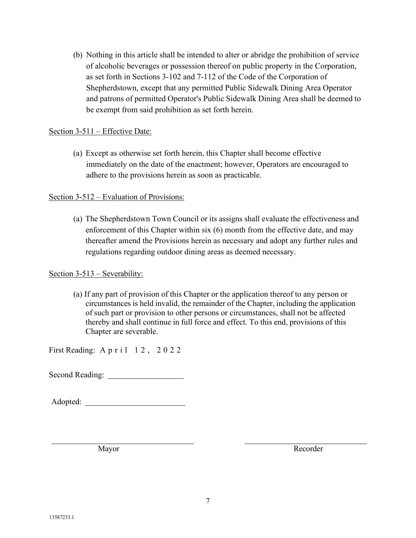(b) Nothing in this article shall be intended to alter or abridge the prohibition of service of alcoholic beverages or possession thereof on public property in the Corporation, as set forth in Sections 3-102 and 7-112 of the Code of the Corporation of Shepherdstown, except that any permitted Public Sidewalk Dining Area Operator and patrons of permitted Operator's Public Sidewalk Dining Area shall be deemed to be exempt from said prohibition as set forth herein.

Section 3-511 – Effective Date:

(a) Except as otherwise set forth herein, this Chapter shall become effective immediately on the date of the enactment; however, Operators are encouraged to adhere to the provisions herein as soon as practicable.

Section 3-512 – Evaluation of Provisions:

(a) The Shepherdstown Town Council or its assigns shall evaluate the effectiveness and enforcement of this Chapter within six (6) month from the effective date, and may thereafter amend the Provisions herein as necessary and adopt any further rules and regulations regarding outdoor dining areas as deemed necessary.

Section 3-513 – Severability:

(a) If any part of provision of this Chapter or the application thereof to any person or circumstances is held invalid, the remainder of the Chapter, including the application of such part or provision to other persons or circumstances, shall not be affected thereby and shall continue in full force and effect. To this end, provisions of this Chapter are severable.

First Reading: April 12, 2022

Second Reading:

Adopted:

Mayor Recorder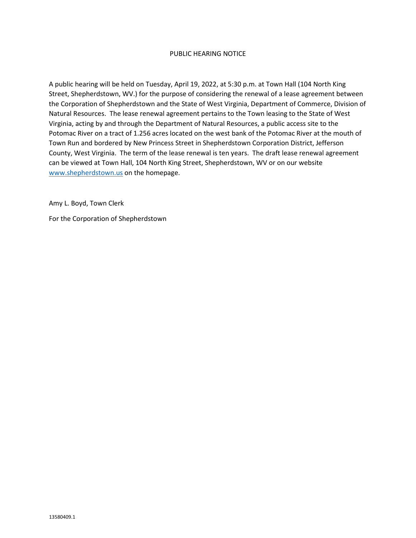#### PUBLIC HEARING NOTICE

A public hearing will be held on Tuesday, April 19, 2022, at 5:30 p.m. at Town Hall (104 North King Street, Shepherdstown, WV.) for the purpose of considering the renewal of a lease agreement between the Corporation of Shepherdstown and the State of West Virginia, Department of Commerce, Division of Natural Resources. The lease renewal agreement pertains to the Town leasing to the State of West Virginia, acting by and through the Department of Natural Resources, a public access site to the Potomac River on a tract of 1.256 acres located on the west bank of the Potomac River at the mouth of Town Run and bordered by New Princess Street in Shepherdstown Corporation District, Jefferson County, West Virginia. The term of the lease renewal is ten years. The draft lease renewal agreement can be viewed at Town Hall, 104 North King Street, Shepherdstown, WV or on our website [www.shepherdstown.us](http://www.shepherdstown.us/) on the homepage.

Amy L. Boyd, Town Clerk

For the Corporation of Shepherdstown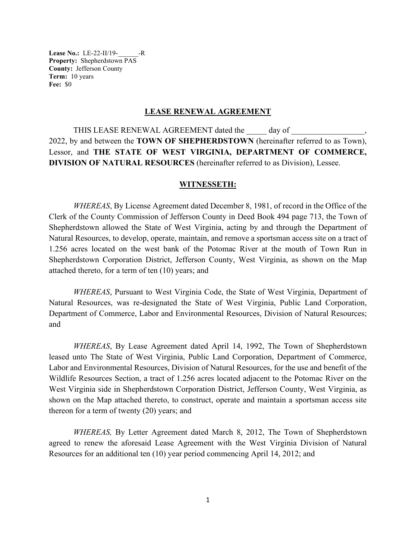**Lease No.:** LE-22-II/19-<br>-R **Property:** Shepherdstown PAS **County:** Jefferson County **Term:** 10 years **Fee:** \$0

#### **LEASE RENEWAL AGREEMENT**

THIS LEASE RENEWAL AGREEMENT dated the day of 2022, by and between the **TOWN OF SHEPHERDSTOWN** (hereinafter referred to as Town), Lessor, and **THE STATE OF WEST VIRGINIA, DEPARTMENT OF COMMERCE, DIVISION OF NATURAL RESOURCES** (hereinafter referred to as Division), Lessee.

#### **WITNESSETH:**

*WHEREAS*, By License Agreement dated December 8, 1981, of record in the Office of the Clerk of the County Commission of Jefferson County in Deed Book 494 page 713, the Town of Shepherdstown allowed the State of West Virginia, acting by and through the Department of Natural Resources, to develop, operate, maintain, and remove a sportsman access site on a tract of 1.256 acres located on the west bank of the Potomac River at the mouth of Town Run in Shepherdstown Corporation District, Jefferson County, West Virginia, as shown on the Map attached thereto, for a term of ten (10) years; and

*WHEREAS*, Pursuant to West Virginia Code, the State of West Virginia, Department of Natural Resources, was re-designated the State of West Virginia, Public Land Corporation, Department of Commerce, Labor and Environmental Resources, Division of Natural Resources; and

*WHEREAS*, By Lease Agreement dated April 14, 1992, The Town of Shepherdstown leased unto The State of West Virginia, Public Land Corporation, Department of Commerce, Labor and Environmental Resources, Division of Natural Resources, for the use and benefit of the Wildlife Resources Section, a tract of 1.256 acres located adjacent to the Potomac River on the West Virginia side in Shepherdstown Corporation District, Jefferson County, West Virginia, as shown on the Map attached thereto, to construct, operate and maintain a sportsman access site thereon for a term of twenty (20) years; and

*WHEREAS,* By Letter Agreement dated March 8, 2012, The Town of Shepherdstown agreed to renew the aforesaid Lease Agreement with the West Virginia Division of Natural Resources for an additional ten (10) year period commencing April 14, 2012; and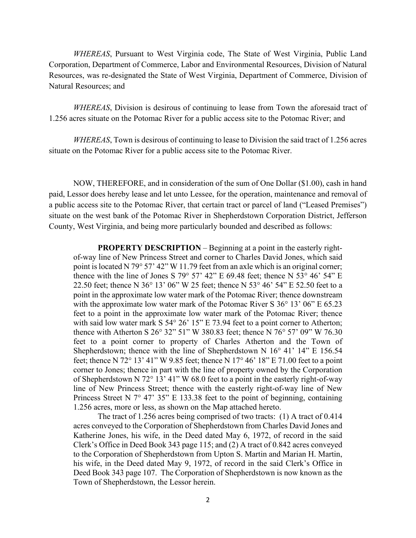*WHEREAS*, Pursuant to West Virginia code, The State of West Virginia, Public Land Corporation, Department of Commerce, Labor and Environmental Resources, Division of Natural Resources, was re-designated the State of West Virginia, Department of Commerce, Division of Natural Resources; and

*WHEREAS*, Division is desirous of continuing to lease from Town the aforesaid tract of 1.256 acres situate on the Potomac River for a public access site to the Potomac River; and

*WHEREAS*, Town is desirous of continuing to lease to Division the said tract of 1.256 acres situate on the Potomac River for a public access site to the Potomac River.

NOW, THEREFORE, and in consideration of the sum of One Dollar (\$1.00), cash in hand paid, Lessor does hereby lease and let unto Lessee, for the operation, maintenance and removal of a public access site to the Potomac River, that certain tract or parcel of land ("Leased Premises") situate on the west bank of the Potomac River in Shepherdstown Corporation District, Jefferson County, West Virginia, and being more particularly bounded and described as follows:

**PROPERTY DESCRIPTION** – Beginning at a point in the easterly rightof-way line of New Princess Street and corner to Charles David Jones, which said point is located N 79° 57' 42" W 11.79 feet from an axle which is an original corner; thence with the line of Jones S 79° 57' 42" E 69.48 feet; thence N 53° 46' 54" E 22.50 feet; thence N 36° 13' 06" W 25 feet; thence N 53° 46' 54" E 52.50 feet to a point in the approximate low water mark of the Potomac River; thence downstream with the approximate low water mark of the Potomac River S 36° 13' 06" E 65.23 feet to a point in the approximate low water mark of the Potomac River; thence with said low water mark S 54° 26' 15" E 73.94 feet to a point corner to Atherton; thence with Atherton S 26° 32" 51" W 380.83 feet; thence N 76° 57' 09" W 76.30 feet to a point corner to property of Charles Atherton and the Town of Shepherdstown; thence with the line of Shepherdstown N 16° 41' 14" E 156.54 feet; thence N 72° 13' 41" W 9.85 feet; thence N 17° 46' 18" E 71.00 feet to a point corner to Jones; thence in part with the line of property owned by the Corporation of Shepherdstown N 72° 13' 41" W 68.0 feet to a point in the easterly right-of-way line of New Princess Street; thence with the easterly right-of-way line of New Princess Street N  $7^{\circ}$  47' 35" E 133.38 feet to the point of beginning, containing 1.256 acres, more or less, as shown on the Map attached hereto.

The tract of 1.256 acres being comprised of two tracts: (1) A tract of 0.414 acres conveyed to the Corporation of Shepherdstown from Charles David Jones and Katherine Jones, his wife, in the Deed dated May 6, 1972, of record in the said Clerk's Office in Deed Book 343 page 115; and (2) A tract of 0.842 acres conveyed to the Corporation of Shepherdstown from Upton S. Martin and Marian H. Martin, his wife, in the Deed dated May 9, 1972, of record in the said Clerk's Office in Deed Book 343 page 107. The Corporation of Shepherdstown is now known as the Town of Shepherdstown, the Lessor herein.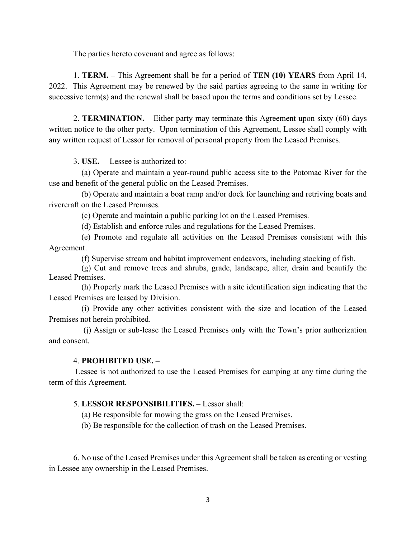The parties hereto covenant and agree as follows:

1. **TERM. –** This Agreement shall be for a period of **TEN (10) YEARS** from April 14, 2022. This Agreement may be renewed by the said parties agreeing to the same in writing for successive term(s) and the renewal shall be based upon the terms and conditions set by Lessee.

2. **TERMINATION.** – Either party may terminate this Agreement upon sixty (60) days written notice to the other party. Upon termination of this Agreement, Lessee shall comply with any written request of Lessor for removal of personal property from the Leased Premises.

3. **USE.** – Lessee is authorized to:

 (a) Operate and maintain a year-round public access site to the Potomac River for the use and benefit of the general public on the Leased Premises.

 (b) Operate and maintain a boat ramp and/or dock for launching and retriving boats and rivercraft on the Leased Premises.

(c) Operate and maintain a public parking lot on the Leased Premises.

(d) Establish and enforce rules and regulations for the Leased Premises.

 (e) Promote and regulate all activities on the Leased Premises consistent with this Agreement.

(f) Supervise stream and habitat improvement endeavors, including stocking of fish.

 (g) Cut and remove trees and shrubs, grade, landscape, alter, drain and beautify the Leased Premises.

 (h) Properly mark the Leased Premises with a site identification sign indicating that the Leased Premises are leased by Division.

 (i) Provide any other activities consistent with the size and location of the Leased Premises not herein prohibited.

 (j) Assign or sub-lease the Leased Premises only with the Town's prior authorization and consent.

#### 4. **PROHIBITED USE.** –

Lessee is not authorized to use the Leased Premises for camping at any time during the term of this Agreement.

### 5. **LESSOR RESPONSIBILITIES.** – Lessor shall:

(a) Be responsible for mowing the grass on the Leased Premises.

(b) Be responsible for the collection of trash on the Leased Premises.

6. No use of the Leased Premises under this Agreement shall be taken as creating or vesting in Lessee any ownership in the Leased Premises.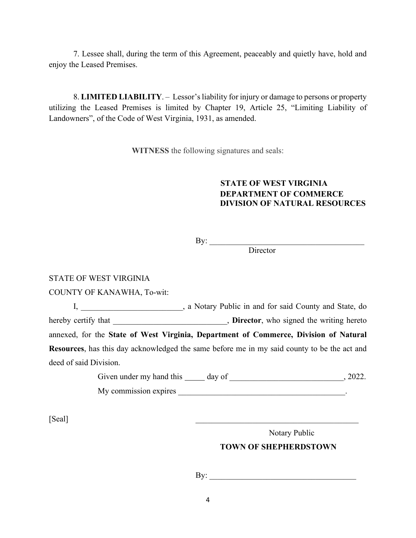7. Lessee shall, during the term of this Agreement, peaceably and quietly have, hold and enjoy the Leased Premises.

8. **LIMITED LIABILITY**. – Lessor's liability for injury or damage to persons or property utilizing the Leased Premises is limited by Chapter 19, Article 25, "Limiting Liability of Landowners", of the Code of West Virginia, 1931, as amended.

**WITNESS** the following signatures and seals:

## **STATE OF WEST VIRGINIA DEPARTMENT OF COMMERCE DIVISION OF NATURAL RESOURCES**

By:  $\blacksquare$ 

Director

STATE OF WEST VIRGINIA

COUNTY OF KANAWHA, To-wit:

I, a Notary Public in and for said County and State, do hereby certify that \_\_\_\_\_\_\_\_\_\_\_\_\_\_\_\_\_\_\_\_\_\_\_\_\_\_, Director, who signed the writing hereto annexed, for the **State of West Virginia, Department of Commerce, Division of Natural Resources**, has this day acknowledged the same before me in my said county to be the act and deed of said Division.

> Given under my hand this \_\_\_\_\_\_ day of \_\_\_\_\_\_\_\_\_\_\_\_\_\_\_\_\_\_\_\_\_\_\_\_\_, 2022. My commission expires \_\_\_\_\_\_\_\_\_\_\_\_\_\_\_\_\_\_\_\_\_\_\_\_\_\_\_\_\_\_\_\_\_\_\_\_\_\_\_\_\_.

 $[Seal]$ 

Notary Public **TOWN OF SHEPHERDSTOWN**

 $\mathbf{By:}$